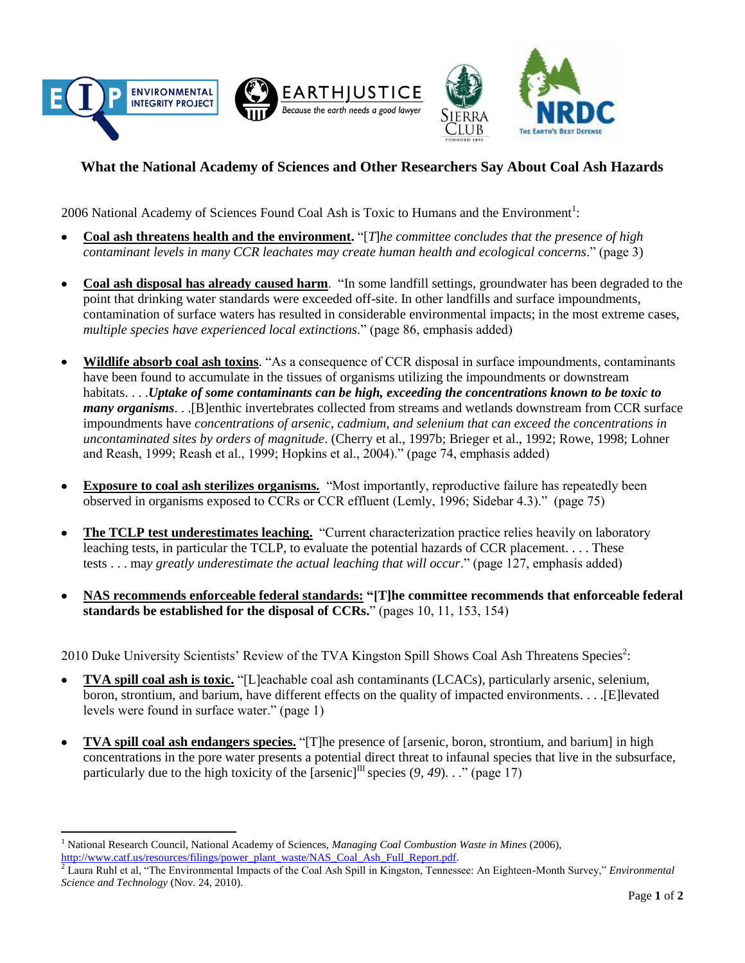



## **What the National Academy of Sciences and Other Researchers Say About Coal Ash Hazards**

2006 National Academy of Sciences Found Coal Ash is Toxic to Humans and the Environment<sup>1</sup>:

- **Coal ash threatens health and the environment.** "[*T*]*he committee concludes that the presence of high contaminant levels in many CCR leachates may create human health and ecological concerns*." (page 3)
- **Coal ash disposal has already caused harm**. "In some landfill settings, groundwater has been degraded to the point that drinking water standards were exceeded off-site. In other landfills and surface impoundments, contamination of surface waters has resulted in considerable environmental impacts; in the most extreme cases, *multiple species have experienced local extinctions*." (page 86, emphasis added)
- **Wildlife absorb coal ash toxins**. "As a consequence of CCR disposal in surface impoundments, contaminants have been found to accumulate in the tissues of organisms utilizing the impoundments or downstream habitats. . . .*Uptake of some contaminants can be high, exceeding the concentrations known to be toxic to many organisms*. . .[B]enthic invertebrates collected from streams and wetlands downstream from CCR surface impoundments have *concentrations of arsenic, cadmium, and selenium that can exceed the concentrations in uncontaminated sites by orders of magnitude*. (Cherry et al., 1997b; Brieger et al., 1992; Rowe, 1998; Lohner and Reash, 1999; Reash et al., 1999; Hopkins et al., 2004)." (page 74, emphasis added)
- **Exposure to coal ash sterilizes organisms.** "Most importantly, reproductive failure has repeatedly been  $\bullet$ observed in organisms exposed to CCRs or CCR effluent (Lemly, 1996; Sidebar 4.3)." (page 75)
- **The TCLP test underestimates leaching.** "Current characterization practice relies heavily on laboratory  $\bullet$ leaching tests, in particular the TCLP, to evaluate the potential hazards of CCR placement. . . . These tests . . . ma*y greatly underestimate the actual leaching that will occur*." (page 127, emphasis added)
- **NAS recommends enforceable federal standards: "[T]he committee recommends that enforceable federal standards be established for the disposal of CCRs.**" (pages 10, 11, 153, 154)

2010 Duke University Scientists' Review of the TVA Kingston Spill Shows Coal Ash Threatens Species<sup>2</sup>:

- $\bullet$ **TVA spill coal ash is toxic.** "[L]eachable coal ash contaminants (LCACs), particularly arsenic, selenium, boron, strontium, and barium, have different effects on the quality of impacted environments. . . .[E]levated levels were found in surface water." (page 1)
- **TVA spill coal ash endangers species.** "[T]he presence of [arsenic, boron, strontium, and barium] in high  $\bullet$ concentrations in the pore water presents a potential direct threat to infaunal species that live in the subsurface, particularly due to the high toxicity of the  $\left[ \text{argenic} \right]$ <sup>III</sup> species (9, 49). . ." (page 17)

 $\overline{a}$ 

<sup>1</sup> National Research Council, National Academy of Sciences, *Managing Coal Combustion Waste in Mines* (2006), [http://www.catf.us/resources/filings/power\\_plant\\_waste/NAS\\_Coal\\_Ash\\_Full\\_Report.pdf.](http://www.catf.us/resources/filings/power_plant_waste/NAS_Coal_Ash_Full_Report.pdf)

<sup>2</sup> Laura Ruhl et al, "The Environmental Impacts of the Coal Ash Spill in Kingston, Tennessee: An Eighteen-Month Survey," *Environmental Science and Technology* (Nov. 24, 2010).